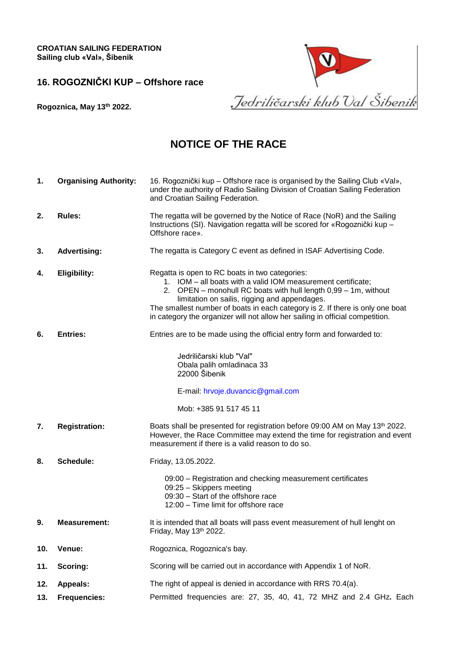**CROATIAN SAILING FEDERATION Sailing club «Val», Šibenik**

**16. ROGOZNIČKI KUP – Offshore race**



**Rogoznica, May 13 th 2022.**

## **NOTICE OF THE RACE**

**1. Organising Authority:** 16. Rogoznički kup – Offshore race is organised by the Sailing Club «Val»,

|     |                      | under the authority of Radio Sailing Division of Croatian Sailing Federation<br>and Croatian Sailing Federation.                                                                                                                                                                                                                                                                                     |  |
|-----|----------------------|------------------------------------------------------------------------------------------------------------------------------------------------------------------------------------------------------------------------------------------------------------------------------------------------------------------------------------------------------------------------------------------------------|--|
| 2.  | <b>Rules:</b>        | The regatta will be governed by the Notice of Race (NoR) and the Sailing<br>Instructions (SI). Navigation regatta will be scored for «Rogoznički kup -<br>Offshore race».                                                                                                                                                                                                                            |  |
| 3.  | <b>Advertising:</b>  | The regatta is Category C event as defined in ISAF Advertising Code.                                                                                                                                                                                                                                                                                                                                 |  |
| 4.  | <b>Eligibility:</b>  | Regatta is open to RC boats in two categories:<br>1. IOM - all boats with a valid IOM measurement certificate;<br>2. OPEN – monohull RC boats with hull length 0,99 – 1m, without<br>limitation on sailis, rigging and appendages.<br>The smallest number of boats in each category is 2. If there is only one boat<br>in category the organizer will not allow her sailing in official competition. |  |
| 6.  | <b>Entries:</b>      | Entries are to be made using the official entry form and forwarded to:                                                                                                                                                                                                                                                                                                                               |  |
|     |                      | Jedriličarski klub "Val"<br>Obala palih omladinaca 33<br>22000 Šibenik                                                                                                                                                                                                                                                                                                                               |  |
|     |                      | E-mail: hrvoje.duvancic@gmail.com                                                                                                                                                                                                                                                                                                                                                                    |  |
|     |                      | Mob: +385 91 517 45 11                                                                                                                                                                                                                                                                                                                                                                               |  |
| 7.  | <b>Registration:</b> | Boats shall be presented for registration before 09:00 AM on May 13th 2022.<br>However, the Race Committee may extend the time for registration and event<br>measurement if there is a valid reason to do so.                                                                                                                                                                                        |  |
| 8.  | Schedule:            | Friday, 13.05.2022.                                                                                                                                                                                                                                                                                                                                                                                  |  |
|     |                      | 09:00 – Registration and checking measurement certificates<br>09:25 - Skippers meeting<br>09:30 - Start of the offshore race<br>12:00 - Time limit for offshore race                                                                                                                                                                                                                                 |  |
| 9.  | <b>Measurement:</b>  | It is intended that all boats will pass event measurement of hull lenght on<br>Friday, May 13th 2022.                                                                                                                                                                                                                                                                                                |  |
| 10. | Venue:               | Rogoznica, Rogoznica's bay.                                                                                                                                                                                                                                                                                                                                                                          |  |
| 11. | Scoring:             | Scoring will be carried out in accordance with Appendix 1 of NoR.                                                                                                                                                                                                                                                                                                                                    |  |
| 12. | <b>Appeals:</b>      | The right of appeal is denied in accordance with RRS 70.4(a).                                                                                                                                                                                                                                                                                                                                        |  |
| 13. | <b>Frequencies:</b>  | Permitted frequencies are: 27, 35, 40, 41, 72 MHZ and 2.4 GHz. Each                                                                                                                                                                                                                                                                                                                                  |  |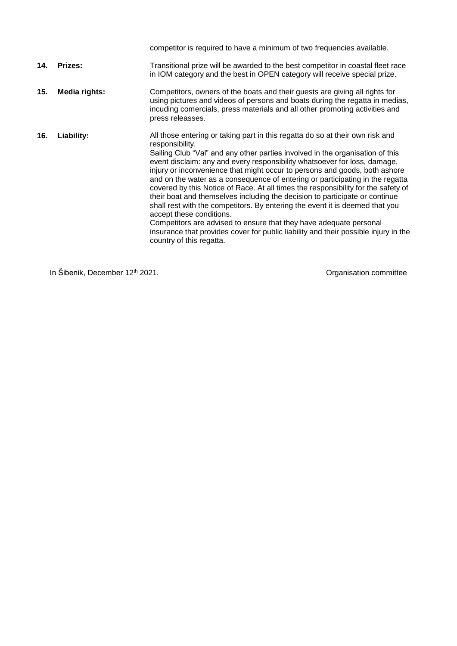|     |                | competitor is required to have a minimum of two frequencies available.                                                                                                                                                                                                                                                                                                                                                                                                                                                                                                                                                                                                                                                                                                                                                                                                                                 |
|-----|----------------|--------------------------------------------------------------------------------------------------------------------------------------------------------------------------------------------------------------------------------------------------------------------------------------------------------------------------------------------------------------------------------------------------------------------------------------------------------------------------------------------------------------------------------------------------------------------------------------------------------------------------------------------------------------------------------------------------------------------------------------------------------------------------------------------------------------------------------------------------------------------------------------------------------|
| 14. | <b>Prizes:</b> | Transitional prize will be awarded to the best competitor in coastal fleet race<br>in IOM category and the best in OPEN category will receive special prize.                                                                                                                                                                                                                                                                                                                                                                                                                                                                                                                                                                                                                                                                                                                                           |
| 15. | Media rights:  | Competitors, owners of the boats and their guests are giving all rights for<br>using pictures and videos of persons and boats during the regatta in medias,<br>incuding comercials, press materials and all other promoting activities and<br>press releasses.                                                                                                                                                                                                                                                                                                                                                                                                                                                                                                                                                                                                                                         |
| 16. | Liability:     | All those entering or taking part in this regatta do so at their own risk and<br>responsibility.<br>Sailing Club "Val" and any other parties involved in the organisation of this<br>event disclaim: any and every responsibility whatsoever for loss, damage,<br>injury or inconvenience that might occur to persons and goods, both ashore<br>and on the water as a consequence of entering or participating in the regatta<br>covered by this Notice of Race. At all times the responsibility for the safety of<br>their boat and themselves including the decision to participate or continue<br>shall rest with the competitors. By entering the event it is deemed that you<br>accept these conditions.<br>Competitors are advised to ensure that they have adequate personal<br>insurance that provides cover for public liability and their possible injury in the<br>country of this regatta. |

In Šibenik, December 12<sup>th</sup> 2021. **In Sibenix, December 12<sup>th</sup> 2021**.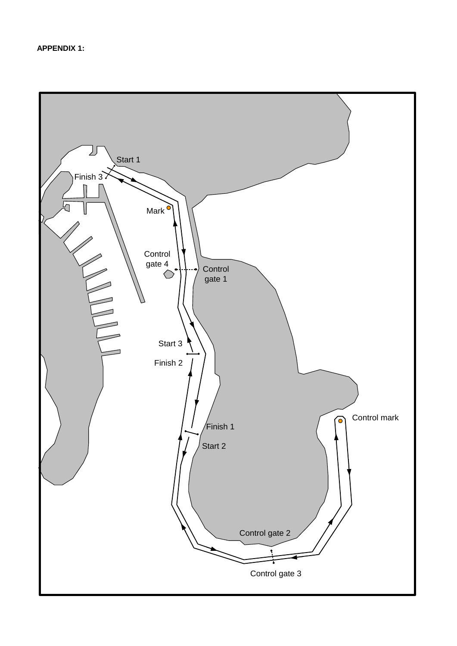**APPENDIX 1:**